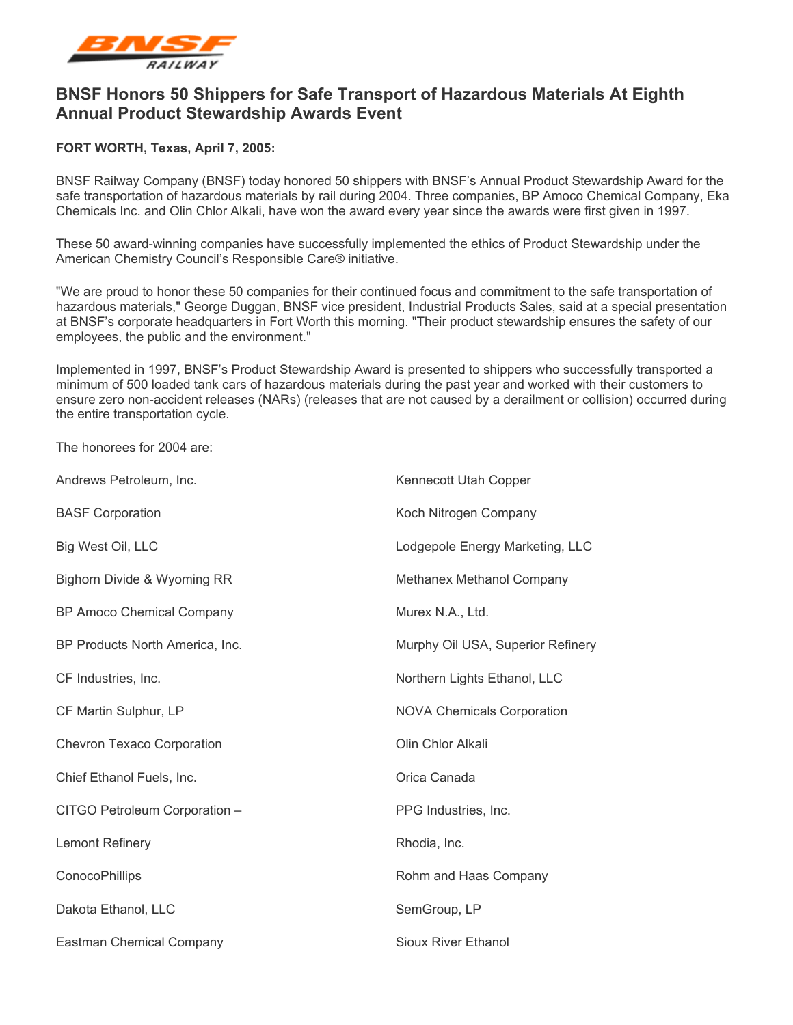

## **BNSF Honors 50 Shippers for Safe Transport of Hazardous Materials At Eighth Annual Product Stewardship Awards Event**

## **FORT WORTH, Texas, April 7, 2005:**

BNSF Railway Company (BNSF) today honored 50 shippers with BNSF's Annual Product Stewardship Award for the safe transportation of hazardous materials by rail during 2004. Three companies, BP Amoco Chemical Company, Eka Chemicals Inc. and Olin Chlor Alkali, have won the award every year since the awards were first given in 1997.

These 50 award-winning companies have successfully implemented the ethics of Product Stewardship under the American Chemistry Council's Responsible Care® initiative.

"We are proud to honor these 50 companies for their continued focus and commitment to the safe transportation of hazardous materials," George Duggan, BNSF vice president, Industrial Products Sales, said at a special presentation at BNSF's corporate headquarters in Fort Worth this morning. "Their product stewardship ensures the safety of our employees, the public and the environment."

Implemented in 1997, BNSF's Product Stewardship Award is presented to shippers who successfully transported a minimum of 500 loaded tank cars of hazardous materials during the past year and worked with their customers to ensure zero non-accident releases (NARs) (releases that are not caused by a derailment or collision) occurred during the entire transportation cycle.

The honorees for 2004 are:

| Andrews Petroleum, Inc.           | Kennecott Utah Copper             |
|-----------------------------------|-----------------------------------|
| <b>BASF Corporation</b>           | Koch Nitrogen Company             |
| Big West Oil, LLC                 | Lodgepole Energy Marketing, LLC   |
| Bighorn Divide & Wyoming RR       | Methanex Methanol Company         |
| BP Amoco Chemical Company         | Murex N.A., Ltd.                  |
| BP Products North America, Inc.   | Murphy Oil USA, Superior Refinery |
| CF Industries, Inc.               | Northern Lights Ethanol, LLC      |
| CF Martin Sulphur, LP             | <b>NOVA Chemicals Corporation</b> |
| <b>Chevron Texaco Corporation</b> | Olin Chlor Alkali                 |
| Chief Ethanol Fuels, Inc.         | Orica Canada                      |
| CITGO Petroleum Corporation -     | PPG Industries, Inc.              |
| <b>Lemont Refinery</b>            | Rhodia, Inc.                      |
| ConocoPhillips                    | Rohm and Haas Company             |
| Dakota Ethanol, LLC               | SemGroup, LP                      |
| <b>Eastman Chemical Company</b>   | Sioux River Ethanol               |